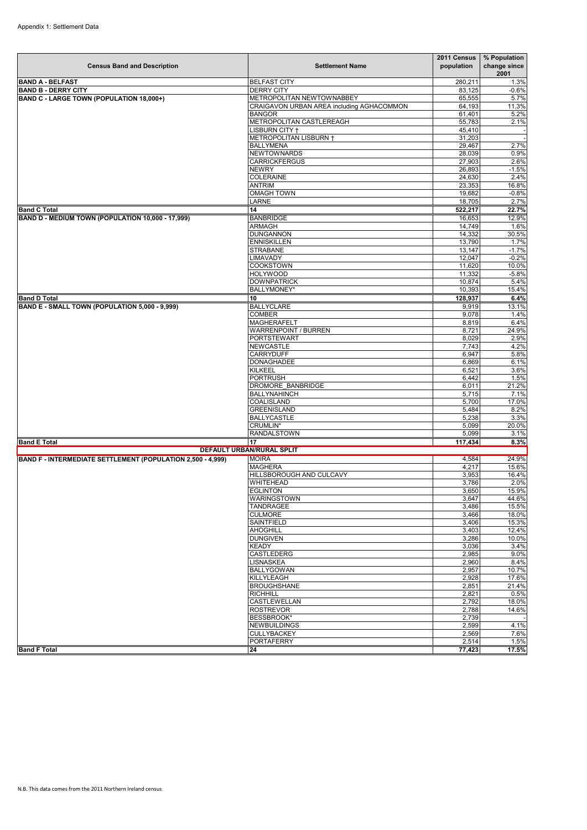| <b>Census Band and Description</b>                          | <b>Settlement Name</b>                    | 2011 Census<br>population | % Population<br>change since<br>2001 |  |
|-------------------------------------------------------------|-------------------------------------------|---------------------------|--------------------------------------|--|
| <b>BAND A - BELFAST</b>                                     | <b>BELFAST CITY</b>                       | 280,211                   | 1.3%                                 |  |
| <b>BAND B - DERRY CITY</b>                                  | <b>DERRY CITY</b>                         | 83,125                    | $-0.6%$                              |  |
| BAND C - LARGE TOWN (POPULATION 18,000+)                    | METROPOLITAN NEWTOWNABBEY                 | 65,555                    | $\overline{5.7\%}$                   |  |
|                                                             | CRAIGAVON URBAN AREA including AGHACOMMON | 64,193                    | 11.3%                                |  |
|                                                             | <b>BANGOR</b>                             | 61,401                    | 5.2%                                 |  |
|                                                             | METROPOLITAN CASTLEREAGH                  | 55,783                    | 2.1%                                 |  |
|                                                             | LISBURN CITY +<br>METROPOLITAN LISBURN +  | 45,410<br>31,203          |                                      |  |
|                                                             | <b>BALLYMENA</b>                          | 29,467                    | 2.7%                                 |  |
|                                                             | <b>NEWTOWNARDS</b>                        | 28,039                    | 0.9%                                 |  |
|                                                             | <b>CARRICKFERGUS</b>                      | 27,903                    | 2.6%                                 |  |
|                                                             | <b>NEWRY</b>                              | 26,893                    | $-1.5%$                              |  |
|                                                             | <b>COLERAINE</b>                          | 24,630                    | 2.4%                                 |  |
|                                                             | <b>ANTRIM</b>                             | 23,353                    | 16.8%                                |  |
|                                                             | <b>OMAGH TOWN</b>                         | 19,682                    | $-0.8%$                              |  |
|                                                             | LARNE                                     | 18,705                    | 2.7%                                 |  |
| <b>Band C Total</b>                                         | 14                                        | 522,217                   | 22.7%                                |  |
| BAND D - MEDIUM TOWN (POPULATION 10,000 - 17,999)           | <b>BANBRIDGE</b>                          | 16,653                    | 12.9%                                |  |
|                                                             | ARMAGH                                    | 14,749                    | 1.6%                                 |  |
|                                                             | <b>DUNGANNON</b>                          | 14,332                    | 30.5%                                |  |
|                                                             | <b>ENNISKILLEN</b>                        | 13,790                    | 1.7%                                 |  |
|                                                             | <b>STRABANE</b>                           | 13,147                    | $-1.7%$                              |  |
|                                                             | LIMAVADY                                  | 12,047                    | $-0.2%$                              |  |
|                                                             | <b>COOKSTOWN</b>                          | 11,620                    | 10.0%                                |  |
|                                                             | <b>HOLYWOOD</b>                           | 11,332                    | $-5.8%$                              |  |
|                                                             | <b>DOWNPATRICK</b>                        | 10,874                    | 5.4%                                 |  |
|                                                             | <b>BALLYMONEY*</b>                        | 10,393                    | 15.4%                                |  |
| <b>Band D Total</b>                                         | 10                                        | 128,937                   | 6.4%                                 |  |
| BAND E - SMALL TOWN (POPULATION 5,000 - 9,999)              | <b>BALLYCLARE</b>                         | 9,919                     | 13.1%                                |  |
|                                                             | <b>COMBER</b>                             | 9,078                     | 1.4%                                 |  |
|                                                             | <b>MAGHERAFELT</b>                        | 8,819                     | 6.4%                                 |  |
|                                                             | <b>WARRENPOINT / BURREN</b>               | 8,721                     | 24.9%                                |  |
|                                                             | <b>PORTSTEWART</b><br><b>NEWCASTLE</b>    | 8,029                     | 2.9%                                 |  |
|                                                             | <b>CARRYDUFF</b>                          | 7,743                     | 4.2%                                 |  |
|                                                             | DONAGHADEE                                | 6,947<br>6,869            | 5.8%<br>6.1%                         |  |
|                                                             | <b>KILKEEL</b>                            | 6,521                     | 3.6%                                 |  |
|                                                             | <b>PORTRUSH</b>                           | 6,442                     | 1.5%                                 |  |
|                                                             | DROMORE BANBRIDGE                         | 6,011                     | 21.2%                                |  |
|                                                             | <b>BALLYNAHINCH</b>                       | 5,715                     | 7.1%                                 |  |
|                                                             | COALISLAND                                | 5,700                     | 17.0%                                |  |
|                                                             | <b>GREENISLAND</b>                        | 5,484                     | 8.2%                                 |  |
|                                                             | <b>BALLYCASTLE</b>                        | 5,238                     | 3.3%                                 |  |
|                                                             | CRUMLIN*                                  | 5,099                     | 20.0%                                |  |
|                                                             | RANDALSTOWN                               | 5,099                     | 3.1%                                 |  |
| <b>Band E Total</b>                                         | 17                                        | 117,434                   | 8.3%                                 |  |
| <b>DEFAULT URBAN/RURAL SPLIT</b>                            |                                           |                           |                                      |  |
| BAND F - INTERMEDIATE SETTLEMENT (POPULATION 2,500 - 4,999) | <b>MOIRA</b>                              | 4,584                     | 24.9%                                |  |
|                                                             | <b>MAGHERA</b>                            | 4,217                     | 15.6%                                |  |
|                                                             | HILLSBOROUGH AND CULCAVY                  | 3,953                     | 16.4%                                |  |
|                                                             | WHITEHEAD                                 | 3,786                     | 2.0%                                 |  |
|                                                             | <b>EGLINTON</b>                           | 3.650                     | 15.9%                                |  |
|                                                             | WARINGSTOWN                               | 3,647                     | 44.6%                                |  |
|                                                             | TANDRAGEE                                 | 3,486                     | 15.5%                                |  |
|                                                             | <b>CULMORE</b>                            | 3,466                     | 18.0%                                |  |
|                                                             | <b>SAINTFIELD</b>                         | 3,406                     | 15.3%                                |  |
|                                                             | <b>AHOGHILL</b>                           | 3,403                     | 12.4%                                |  |
|                                                             | <b>DUNGIVEN</b>                           | 3,286                     | 10.0%                                |  |
|                                                             | <b>KEADY</b>                              | 3,036                     | 3.4%                                 |  |
|                                                             | CASTLEDERG                                | 2,985                     | 9.0%                                 |  |
|                                                             | LISNASKEA                                 | 2,960                     | 8.4%                                 |  |
|                                                             | BALLYGOWAN<br>KILLYLEAGH                  | 2,957                     | 10.7%<br>17.6%                       |  |
|                                                             | <b>BROUGHSHANE</b>                        | 2,928<br>2,851            | 21.4%                                |  |
|                                                             | <b>RICHHILL</b>                           | 2,821                     | 0.5%                                 |  |
|                                                             | CASTLEWELLAN                              | 2,792                     | 18.0%                                |  |
|                                                             | <b>ROSTREVOR</b>                          | 2,788                     | 14.6%                                |  |
|                                                             | <b>BESSBROOK*</b>                         | 2,739                     |                                      |  |
|                                                             | NEWBUILDINGS                              | 2,599                     | 4.1%                                 |  |
|                                                             | <b>CULLYBACKEY</b>                        | 2,569                     | 7.6%                                 |  |
|                                                             | <b>PORTAFERRY</b>                         | 2,514                     | 1.5%                                 |  |
| <b>Band F Total</b>                                         | 24                                        | 77,423                    | 17.5%                                |  |